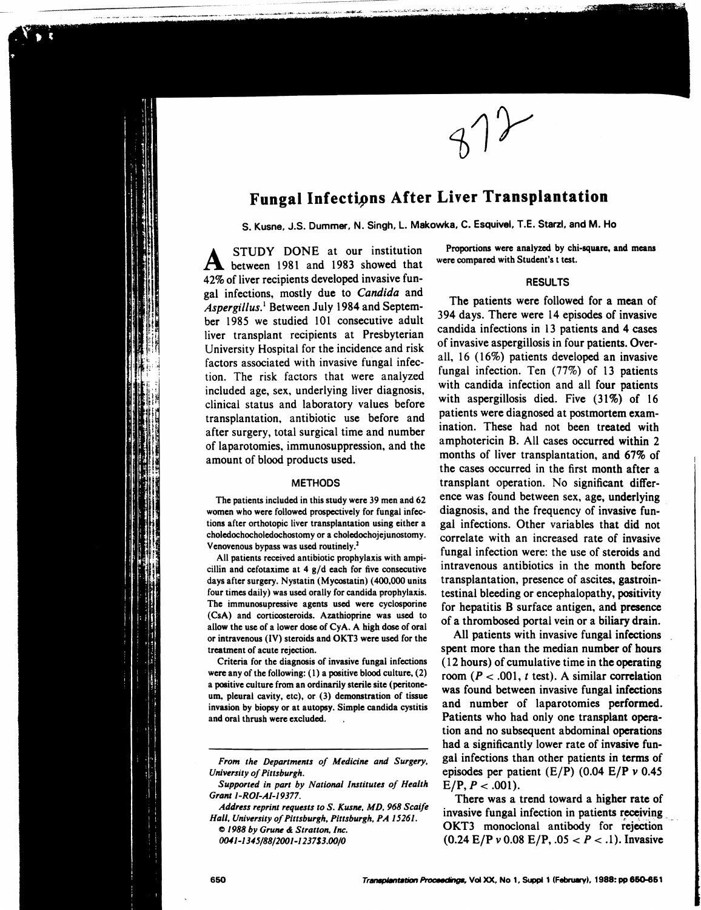# **Fungal Infections After Liver Transplantation**

S. Kusne. J.S. Dummer. N. Singh. L. Makowka. C. Esquivel. T.E. Starzl. and M. Ho

A STUDY DONE at our institution<br>
A between 1981 and 1983 showed that 42% of liver recipients developed invasive fungal infections, mostly due to *Candida* and *Aspergillus.*l Between July 1984 and September 1985 we studied 101 consecutive adult liver transplant recipients at Presbyterian University Hospital for the incidence and risk factors associated with invasive fungal infection. The risk factors that were analyzed included age, sex, underlying liver diagnosis, clinical status and laboratory values before transplantation, antibiotic use before and after surgery, total surgical time and number of laparotomies, immunosuppression, and the amount of blood products used.

## **METHODS**

The patients included in this study were 39 men and 62 women who were followed prospectively for fungal infections after orthotopic liver transplantation using either a choledochocholedochostomy or a choledochojejunostomy. Venovenous bypass was used routinely.<sup>2</sup>

All patients received antibiotic prophylaxis with ampicillin and cefotaxime at  $4$  g/d each for five consecutive days after surgery. Nystatin (Mycostatin) (400,000 units four times daily) was used orally for candida prophylaxis. The immunosupressive agents used were cyclosporine (CsA) and corticosteroids. Azathioprine was used to allow the use of a lower dose of CyA. A high dose of oral or intravenous (IV) steroids and OKT3 were used for the treatment of acute rejection.

Criteria for the diagnosis of invasive fungal infections were any of the following: (I) a positive blood culture, (2) a positive culture from an ordinarily sterile site (peritoneum, pleural cavity, etc). or (3) demonstration of tissue invasion by biopsy or at autopsy. Simple candida cystitis and oral thrush were excluded.

*Address reprint requests to* S. *Kusne. MD.* 968 *Scaife Hall. University of Pittsburgh. Pittsburgh. PA 15261.* 

c 1988 *by GTUne* &; *Stratton. Inc.* 

*()(u1-1 345/88/2001-1 237S3.00/0* 

Proportions were analyzed by chi-square. and means were compared with Student's t test.

 $\bigwedge$ 

21. KSK

## RESULTS

The patients were followed for a mean of 394 days. There were 14 episodes of invasive candida infections in 13 patients and 4 cases of invasive aspergillosis in four patients. Overall, 16 (16%) patients developed an invasive fungal infection. Ten (77%) of 13 patients with candida infection and all four patients with aspergillosis died. Five (31%) of 16 patients were diagnosed at postmortem examination. These had not been treated with amphotericin B. All cases occurred within 2 months of liver transplantation, and 67% of the cases occurred in the first month after a transplant operation. No significant difference was found between sex, age, underlying diagnosis, and the frequency of invasive fungal infections. Other variables that did not correlate with an increased rate of invasive fungal infection were: the use of steroids and intravenous antibiotics in the month before transplantation, presence of ascites, gastrointestinal bleeding or encephalopathy, positivity for hepatitis B surface antigen, and presence of a thrombosed portal vein or a biliary drain.

All patients with invasive fungal infections spent more than the median number of hours (12 hours) of cumulative time in the operating room  $(P < .001, t \text{ test})$ . A similar correlation was found between invasive fungal infections and number of laparotomies performed. Patients who had only one transplant operation and no subsequent abdominal operations had a significantly lower rate of invasive fungal infections than other patients in terms of episodes per patient  $(E/P)$  (0.04  $E/P$   $\nu$  0.45  $E/P, P < .001$ ).

There was a trend toward a higher rate of invasive fungal infection in patients receiving OKT3 monoclonal antibody for rejection (0.24 EjP *v* 0.08 EjP, .05 < *P* < .1). Invasive

*From the Departments of Medicine and Surgery. University of Pittsburgh.* 

*Supported in part by National Institutes of Health*  Grant 1-ROI-AI-19377.